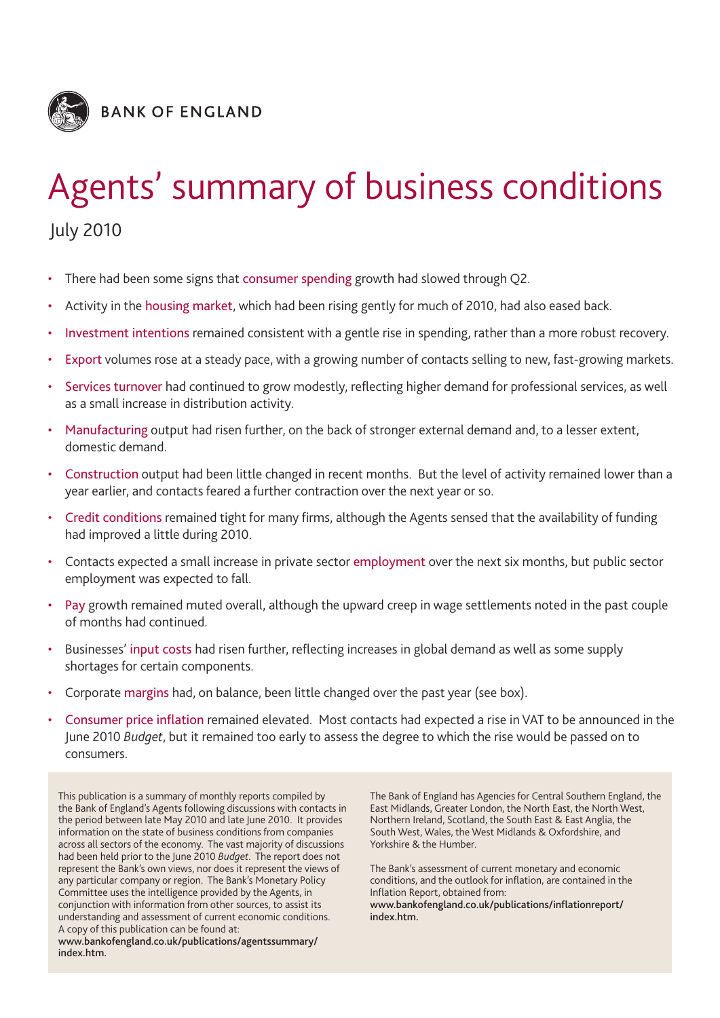

# Agents' summary of business conditions

July 2010

- There had been some signs that consumer spending growth had slowed through Q2.
- Activity in the housing market, which had been rising gently for much of 2010, had also eased back.
- Investment intentions remained consistent with a gentle rise in spending, rather than a more robust recovery.
- Export volumes rose at a steady pace, with a growing number of contacts selling to new, fast-growing markets.
- Services turnover had continued to grow modestly, reflecting higher demand for professional services, as well as a small increase in distribution activity.
- Manufacturing output had risen further, on the back of stronger external demand and, to a lesser extent, domestic demand.
- Construction output had been little changed in recent months. But the level of activity remained lower than a year earlier, and contacts feared a further contraction over the next year or so.
- Credit conditions remained tight for many firms, although the Agents sensed that the availability of funding had improved a little during 2010.
- Contacts expected a small increase in private sector employment over the next six months, but public sector employment was expected to fall.
- Pay growth remained muted overall, although the upward creep in wage settlements noted in the past couple of months had continued.
- Businesses' input costs had risen further, reflecting increases in global demand as well as some supply shortages for certain components.
- Corporate margins had, on balance, been little changed over the past year (see box).
- Consumer price inflation remained elevated. Most contacts had expected a rise in VAT to be announced in the June 2010 *Budget*, but it remained too early to assess the degree to which the rise would be passed on to consumers.

This publication is a summary of monthly reports compiled by the Bank of England's Agents following discussions with contacts in the period between late May 2010 and late June 2010. It provides information on the state of business conditions from companies across all sectors of the economy. The vast majority of discussions had been held prior to the June 2010 *Budget*. The report does not represent the Bank's own views, nor does it represent the views of any particular company or region. The Bank's Monetary Policy Committee uses the intelligence provided by the Agents, in conjunction with information from other sources, to assist its understanding and assessment of current economic conditions. A copy of this publication can be found at: **www.bankofengland.co.uk/publications/agentssummary/ index.htm.**

The Bank of England has Agencies for Central Southern England, the East Midlands, Greater London, the North East, the North West, Northern Ireland, Scotland, the South East & East Anglia, the South West, Wales, the West Midlands & Oxfordshire, and Yorkshire & the Humber.

The Bank's assessment of current monetary and economic conditions, and the outlook for inflation, are contained in the Inflation Report, obtained from: **www.bankofengland.co.uk/publications/inflationreport/**

**index.htm.**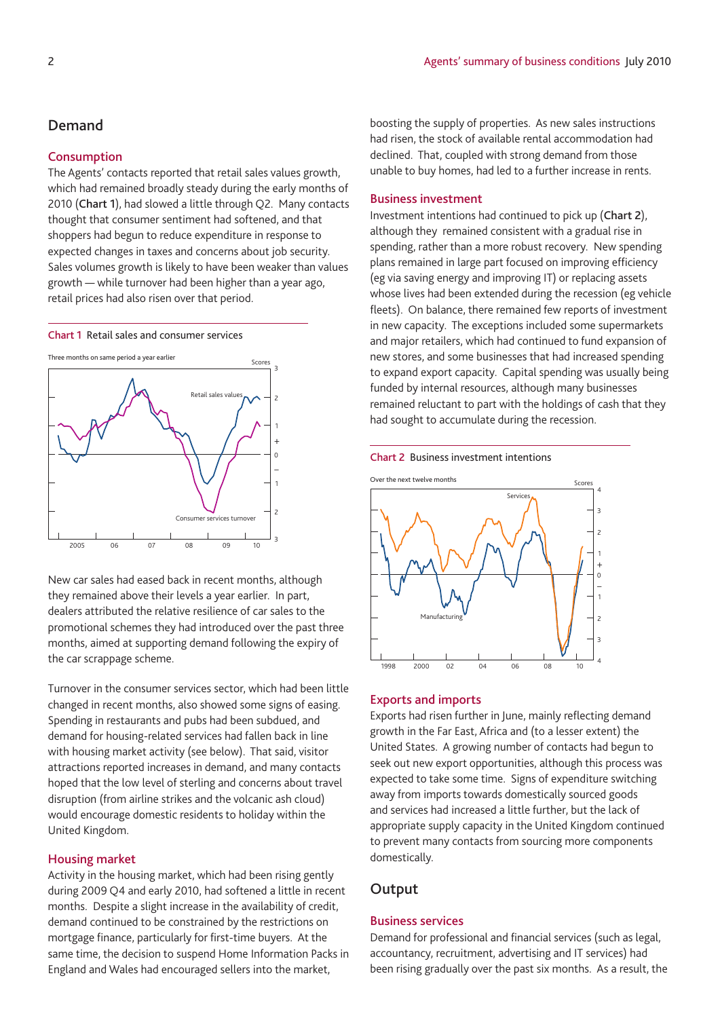## **Demand**

### **Consumption**

The Agents' contacts reported that retail sales values growth, which had remained broadly steady during the early months of 2010 (**Chart 1**), had slowed a little through Q2. Many contacts thought that consumer sentiment had softened, and that shoppers had begun to reduce expenditure in response to expected changes in taxes and concerns about job security. Sales volumes growth is likely to have been weaker than values growth — while turnover had been higher than a year ago, retail prices had also risen over that period.





New car sales had eased back in recent months, although they remained above their levels a year earlier. In part, dealers attributed the relative resilience of car sales to the promotional schemes they had introduced over the past three months, aimed at supporting demand following the expiry of the car scrappage scheme.

Turnover in the consumer services sector, which had been little changed in recent months, also showed some signs of easing. Spending in restaurants and pubs had been subdued, and demand for housing-related services had fallen back in line with housing market activity (see below). That said, visitor attractions reported increases in demand, and many contacts hoped that the low level of sterling and concerns about travel disruption (from airline strikes and the volcanic ash cloud) would encourage domestic residents to holiday within the United Kingdom.

## **Housing market**

Activity in the housing market, which had been rising gently during 2009 Q4 and early 2010, had softened a little in recent months. Despite a slight increase in the availability of credit, demand continued to be constrained by the restrictions on mortgage finance, particularly for first-time buyers. At the same time, the decision to suspend Home Information Packs in England and Wales had encouraged sellers into the market,

boosting the supply of properties. As new sales instructions had risen, the stock of available rental accommodation had declined. That, coupled with strong demand from those unable to buy homes, had led to a further increase in rents.

#### **Business investment**

Investment intentions had continued to pick up (**Chart 2**), although they remained consistent with a gradual rise in spending, rather than a more robust recovery. New spending plans remained in large part focused on improving efficiency (eg via saving energy and improving IT) or replacing assets whose lives had been extended during the recession (eg vehicle fleets). On balance, there remained few reports of investment in new capacity. The exceptions included some supermarkets and major retailers, which had continued to fund expansion of new stores, and some businesses that had increased spending to expand export capacity. Capital spending was usually being funded by internal resources, although many businesses remained reluctant to part with the holdings of cash that they had sought to accumulate during the recession.





#### **Exports and imports**

Exports had risen further in June, mainly reflecting demand growth in the Far East, Africa and (to a lesser extent) the United States. A growing number of contacts had begun to seek out new export opportunities, although this process was expected to take some time. Signs of expenditure switching away from imports towards domestically sourced goods and services had increased a little further, but the lack of appropriate supply capacity in the United Kingdom continued to prevent many contacts from sourcing more components domestically.

## **Output**

## **Business services**

Demand for professional and financial services (such as legal, accountancy, recruitment, advertising and IT services) had been rising gradually over the past six months. As a result, the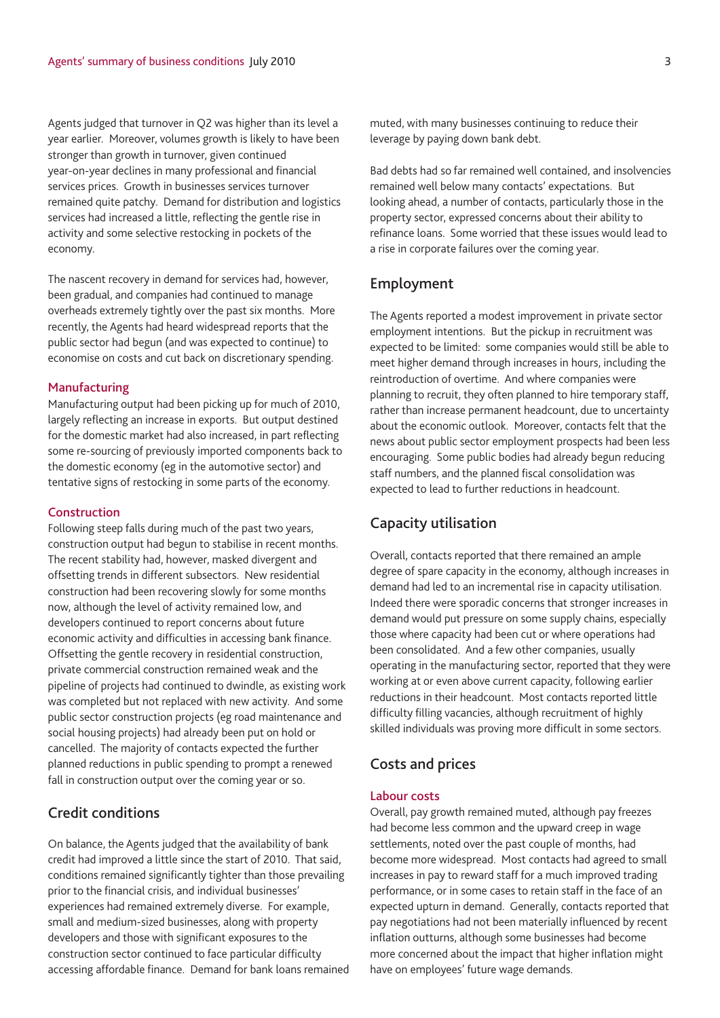Agents judged that turnover in Q2 was higher than its level a year earlier. Moreover, volumes growth is likely to have been stronger than growth in turnover, given continued year-on-year declines in many professional and financial services prices. Growth in businesses services turnover remained quite patchy. Demand for distribution and logistics services had increased a little, reflecting the gentle rise in activity and some selective restocking in pockets of the economy.

The nascent recovery in demand for services had, however, been gradual, and companies had continued to manage overheads extremely tightly over the past six months. More recently, the Agents had heard widespread reports that the public sector had begun (and was expected to continue) to economise on costs and cut back on discretionary spending.

## **Manufacturing**

Manufacturing output had been picking up for much of 2010, largely reflecting an increase in exports. But output destined for the domestic market had also increased, in part reflecting some re-sourcing of previously imported components back to the domestic economy (eg in the automotive sector) and tentative signs of restocking in some parts of the economy.

#### **Construction**

Following steep falls during much of the past two years, construction output had begun to stabilise in recent months. The recent stability had, however, masked divergent and offsetting trends in different subsectors. New residential construction had been recovering slowly for some months now, although the level of activity remained low, and developers continued to report concerns about future economic activity and difficulties in accessing bank finance. Offsetting the gentle recovery in residential construction, private commercial construction remained weak and the pipeline of projects had continued to dwindle, as existing work was completed but not replaced with new activity. And some public sector construction projects (eg road maintenance and social housing projects) had already been put on hold or cancelled. The majority of contacts expected the further planned reductions in public spending to prompt a renewed fall in construction output over the coming year or so.

# **Credit conditions**

On balance, the Agents judged that the availability of bank credit had improved a little since the start of 2010. That said, conditions remained significantly tighter than those prevailing prior to the financial crisis, and individual businesses' experiences had remained extremely diverse. For example, small and medium-sized businesses, along with property developers and those with significant exposures to the construction sector continued to face particular difficulty accessing affordable finance. Demand for bank loans remained muted, with many businesses continuing to reduce their leverage by paying down bank debt.

Bad debts had so far remained well contained, and insolvencies remained well below many contacts' expectations. But looking ahead, a number of contacts, particularly those in the property sector, expressed concerns about their ability to refinance loans. Some worried that these issues would lead to a rise in corporate failures over the coming year.

# **Employment**

The Agents reported a modest improvement in private sector employment intentions. But the pickup in recruitment was expected to be limited: some companies would still be able to meet higher demand through increases in hours, including the reintroduction of overtime. And where companies were planning to recruit, they often planned to hire temporary staff, rather than increase permanent headcount, due to uncertainty about the economic outlook. Moreover, contacts felt that the news about public sector employment prospects had been less encouraging. Some public bodies had already begun reducing staff numbers, and the planned fiscal consolidation was expected to lead to further reductions in headcount.

# **Capacity utilisation**

Overall, contacts reported that there remained an ample degree of spare capacity in the economy, although increases in demand had led to an incremental rise in capacity utilisation. Indeed there were sporadic concerns that stronger increases in demand would put pressure on some supply chains, especially those where capacity had been cut or where operations had been consolidated. And a few other companies, usually operating in the manufacturing sector, reported that they were working at or even above current capacity, following earlier reductions in their headcount. Most contacts reported little difficulty filling vacancies, although recruitment of highly skilled individuals was proving more difficult in some sectors.

## **Costs and prices**

#### **Labour costs**

Overall, pay growth remained muted, although pay freezes had become less common and the upward creep in wage settlements, noted over the past couple of months, had become more widespread. Most contacts had agreed to small increases in pay to reward staff for a much improved trading performance, or in some cases to retain staff in the face of an expected upturn in demand. Generally, contacts reported that pay negotiations had not been materially influenced by recent inflation outturns, although some businesses had become more concerned about the impact that higher inflation might have on employees' future wage demands.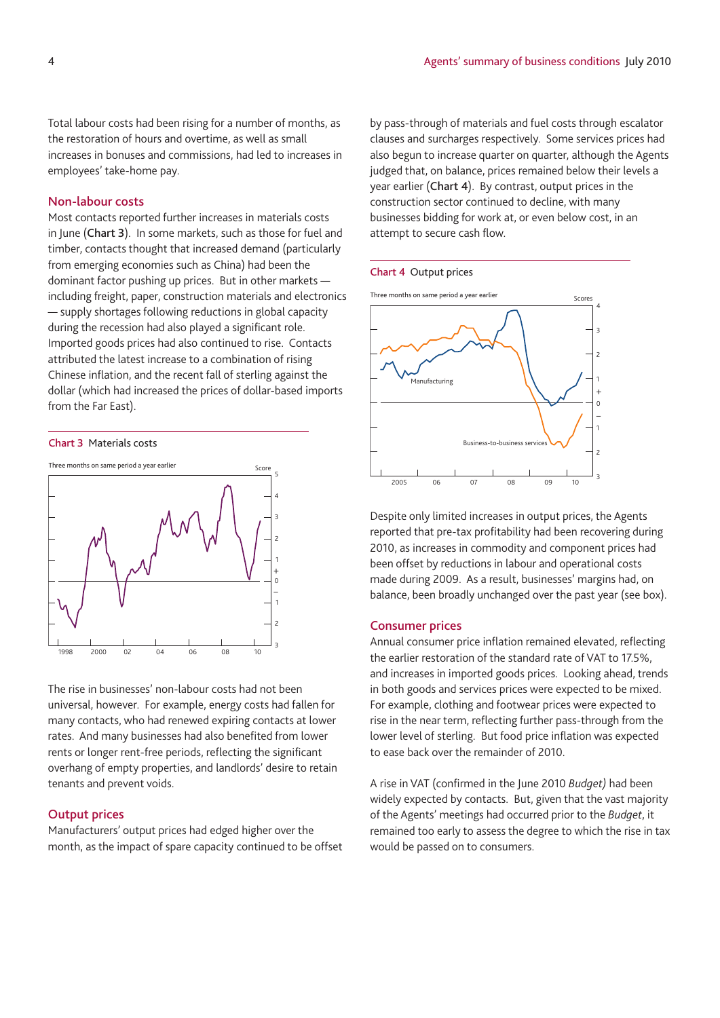Total labour costs had been rising for a number of months, as the restoration of hours and overtime, as well as small increases in bonuses and commissions, had led to increases in employees' take-home pay.

## **Non-labour costs**

Most contacts reported further increases in materials costs in June (**Chart 3**). In some markets, such as those for fuel and timber, contacts thought that increased demand (particularly from emerging economies such as China) had been the dominant factor pushing up prices. But in other markets including freight, paper, construction materials and electronics — supply shortages following reductions in global capacity during the recession had also played a significant role. Imported goods prices had also continued to rise. Contacts attributed the latest increase to a combination of rising Chinese inflation, and the recent fall of sterling against the dollar (which had increased the prices of dollar-based imports from the Far East).

#### **Chart 3** Materials costs



The rise in businesses' non-labour costs had not been universal, however. For example, energy costs had fallen for many contacts, who had renewed expiring contacts at lower rates. And many businesses had also benefited from lower rents or longer rent-free periods, reflecting the significant overhang of empty properties, and landlords' desire to retain tenants and prevent voids.

## **Output prices**

Manufacturers' output prices had edged higher over the month, as the impact of spare capacity continued to be offset by pass-through of materials and fuel costs through escalator clauses and surcharges respectively. Some services prices had also begun to increase quarter on quarter, although the Agents judged that, on balance, prices remained below their levels a year earlier (**Chart 4**). By contrast, output prices in the construction sector continued to decline, with many businesses bidding for work at, or even below cost, in an attempt to secure cash flow.

#### **Chart 4** Output prices



Despite only limited increases in output prices, the Agents reported that pre-tax profitability had been recovering during 2010, as increases in commodity and component prices had been offset by reductions in labour and operational costs made during 2009. As a result, businesses' margins had, on balance, been broadly unchanged over the past year (see box).

#### **Consumer prices**

Annual consumer price inflation remained elevated, reflecting the earlier restoration of the standard rate of VAT to 17.5%, and increases in imported goods prices. Looking ahead, trends in both goods and services prices were expected to be mixed. For example, clothing and footwear prices were expected to rise in the near term, reflecting further pass-through from the lower level of sterling. But food price inflation was expected to ease back over the remainder of 2010.

A rise in VAT (confirmed in the June 2010 *Budget)* had been widely expected by contacts. But, given that the vast majority of the Agents' meetings had occurred prior to the *Budget*, it remained too early to assess the degree to which the rise in tax would be passed on to consumers.